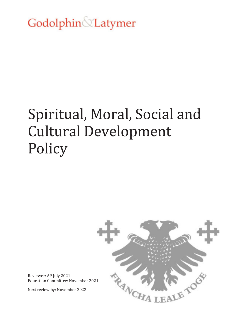Godolphin Latymer

# Spiritual, Moral, Social and Cultural Development **Policy**



Reviewer: AP July 2021 Education Committee: November 2021

Next review by: November 2022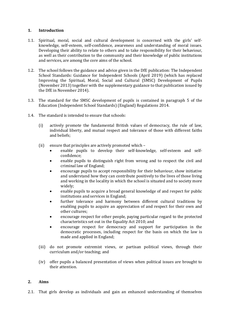## **1. Introduction**

- 1.1. Spiritual, moral, social and cultural development is concerned with the girls' selfknowledge, self-esteem, self-confidence, awareness and understanding of moral issues. Developing their ability to relate to others and to take responsibility for their behaviour, as well as their contribution to the community and their knowledge of public institutions and services, are among the core aims of the school.
- 1.2. The school follows the guidance and advice given in the DfE publication: The Independent School Standards: Guidance for Independent Schools (April 2019) (which has replaced Improving the Spiritual, Moral, Social and Cultural (SMSC) Development of Pupils (November 2013) together with the supplementary guidance to that publication issued by the DfE in November 2014).
- 1.3. The standard for the SMSC development of pupils is contained in paragraph 5 of the Education (Independent School Standards) (England) Regulations 2014.
- 1.4. The standard is intended to ensure that schools:
	- (i) actively promote the fundamental British values of democracy, the rule of law, individual liberty, and mutual respect and tolerance of those with different faiths and beliefs;
	- (ii) ensure that principles are actively promoted which
		- enable pupils to develop their self-knowledge, self-esteem and selfconfidence;
		- enable pupils to distinguish right from wrong and to respect the civil and criminal law of England;
		- encourage pupils to accept responsibility for their behaviour, show initiative and understand how they can contribute positively to the lives of those living and working in the locality in which the school is situated and to society more widely;
		- enable pupils to acquire a broad general knowledge of and respect for public institutions and services in England;
		- further tolerance and harmony between different cultural traditions by enabling pupils to acquire an appreciation of and respect for their own and other cultures;
		- encourage respect for other people, paying particular regard to the protected characteristics set out in the Equality Act 2010; and
		- encourage respect for democracy and support for participation in the democratic processes, including respect for the basis on which the law is made and applied in England;
	- (iii) do not promote extremist views, or partisan political views, through their curriculum and/or teaching; and
	- (iv) offer pupils a balanced presentation of views when political issues are brought to their attention.

## **2. Aims**

2.1. That girls develop as individuals and gain an enhanced understanding of themselves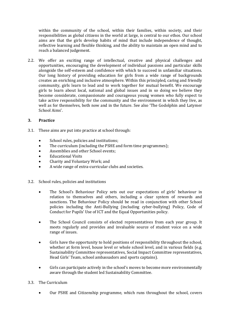within the community of the school, within their families, within society, and their responsibilities as global citizens in the world at large, is central to our ethos. Our school aims are that the girls develop habits of mind that include independence of thought, reflective learning and flexible thinking, and the ability to maintain an open mind and to reach a balanced judgement.

2.2. We offer an exciting range of intellectual, creative and physical challenges and opportunities, encouraging the development of individual passions and particular skills alongside the self-esteem and confidence with which to succeed in unfamiliar situations. Our long history of providing education for girls from a wide range of backgrounds creates an enriching and inclusive atmosphere. Within this principled, caring and friendly community, girls learn to lead and to work together for mutual benefit. We encourage girls to learn about local, national and global issues and in so doing we believe they become considerate, compassionate and courageous young women who fully expect to take active responsibility for the community and the environment in which they live, as well as for themselves, both now and in the future. See also 'The Godolphin and Latymer School Aims'.

# **3. Practice**

- 3.1. These aims are put into practice at school through:
	- School rules, policies and institutions;
	- The curriculum (including the PSHE and form time programmes);
	- Assemblies and other School events;
	- Educational Visits
	- Charity and Voluntary Work; and
	- A wide range of extra-curricular clubs and societies.
- 3.2. School rules, policies and institutions
	- The School's Behaviour Policy sets out our expectations of girls' behaviour in relation to themselves and others, including a clear system of rewards and sanctions. The Behaviour Policy should be read in conjunction with other School policies including the Anti-Bullying (including cyber-bullying) Policy, Code of Conduct for Pupils' Use of ICT and the Equal Opportunities policy.
	- The School Council consists of elected representatives from each year group. It meets regularly and provides and invaluable source of student voice on a wide range of issues.
	- Girls have the opportunity to hold positions of responsibility throughout the school, whether at form level, house level or whole school level, and in various fields (e.g. Sustainability Committee representatives, Social Impact Committee representatives, Head Girls' Team, school ambassadors and sports captains).
	- Girls can participate actively in the school's moves to become more environmentally aware through the student led Sustainability Committee.

## 3.3. The Curriculum

Our PSHE and Citizenship programme, which runs throughout the school, covers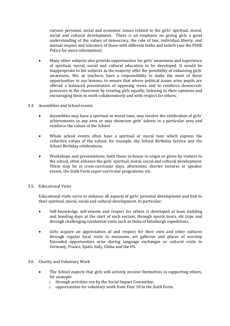various personal, social and economic issues related to the girls' spiritual, moral, social and cultural development. There is an emphasis on giving girls a good understanding of the values of democracy, the rule of law, individual liberty, and mutual respect and tolerance of those with different faiths and beliefs (see the PSHE Policy for more information).

- Many other subjects also provide opportunities for girls' awareness and experience of spiritual, moral, social and cultural education to be developed. It would be inappropriate to list subjects as the majority offer the possibility of enhancing girls' awareness. We, as teachers, have a responsibility to make the most of these opportunities in our lessons, to ensure that where political issues arise pupils are offered a balanced presentation of opposing views and to reinforce democratic processes in the classroom by treating girls equally, listening to their opinions and encouraging them to work collaboratively and with respect for others.
- 3.4. Assemblies and School events
	- Assemblies may have a spiritual or moral tone, may involve the celebration of girls' achievements in any area or may showcase girls' talents in a particular area and reinforce the values of the School.
	- Whole school events often have a spiritual or moral tone which express the collective values of the school, for example, the School Birthday Service and the School Birthday celebrations.
	- Workshops and presentations, both those in-house in origin or given by visitors to the school, often enhance the girls' spiritual, moral, social and cultural development. These may be in cross-curricular days, afternoons, shorter lectures or speaker events, the Sixth Form super-curricular programme, etc.
- 3.5. Educational Visits

Educational visits serve to enhance all aspects of girls' personal development and link to their spiritual, moral, social and cultural development. In particular:

- Self-knowledge, self-esteem and respect for others is developed at team building and bonding days at the start of each section, through sports tours, ski trips and through challenging residential visits such as Duke of Edinburgh expeditions.
- Girls acquire an appreciation of and respect for their own and other cultures through regular local visits to museums, art galleries and places of worship Extended opportunities arise during language exchanges or cultural visits to Germany, France, Spain, Italy, China and the US.
- 3.6. Charity and Voluntary Work
	- The School expects that girls will actively involve themselves in supporting others, for example:
		- o through activities run by the Social Impact Committee;
		- o opportunities for voluntary work from Year 10 to the Sixth Form.